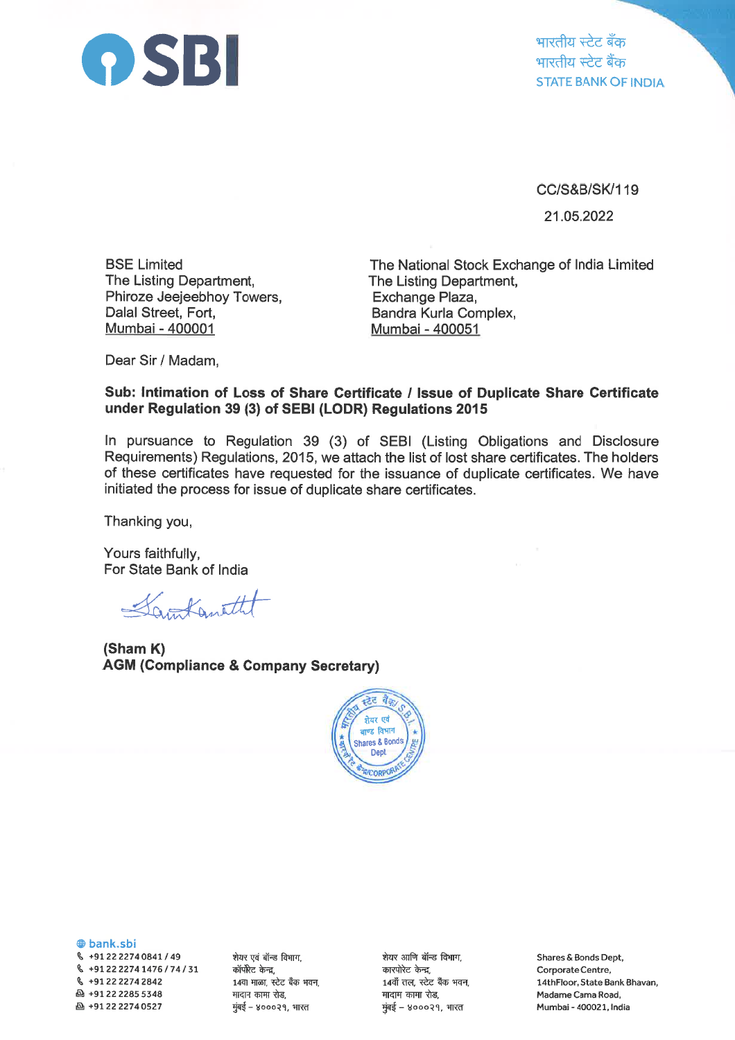

भारतीय स्टेट बँक भारतीय स्टेट बैंक **STATE BANK OF INDIA** 

CC/S&B/SK/119

21.05.2022

**BSE Limited** The Listing Department, Phiroze Jeejeebhoy Towers, Dalal Street. Fort. Mumbai - 400001

The National Stock Exchange of India Limited The Listing Department, Exchange Plaza, Bandra Kurla Complex, Mumbai - 400051

Dear Sir / Madam,

## Sub: Intimation of Loss of Share Certificate / Issue of Duplicate Share Certificate under Regulation 39 (3) of SEBI (LODR) Regulations 2015

In pursuance to Regulation 39 (3) of SEBI (Listing Obligations and Disclosure Requirements) Requiations, 2015, we attach the list of lost share certificates. The holders of these certificates have requested for the issuance of duplicate certificates. We have initiated the process for issue of duplicate share certificates.

Thanking you,

Yours faithfully, For State Bank of India

Santanetht

(Sham K) **AGM (Compliance & Company Secretary)** 



**@bank.sbi** 

§ +91 22 2274 0841 / 49  $\frac{6}{2}$  +91 22 2274 1476 / 74 / 31 € +91 22 2274 2842 4912222855348 凸+912222740527

शेयर एवं बॉन्ड विभाग. कॉर्पोरेट केन्द्र, 14वा माळा, स्टेट बँक भवन, मादाम कामा रोड, मुंबई – ४०००२१, भारत

शेयर आणि बॉन्ड विभाग, कारपोरेट केन्द्र, 14वॉं तल, स्टेट बैंक भवन, मादाम कामा रोड, मुंबई - ४०००२१, भारत

Shares & Bonds Dept, Corporate Centre, 14thFloor, State Bank Bhavan, Madame Cama Road, Mumbai - 400021, India